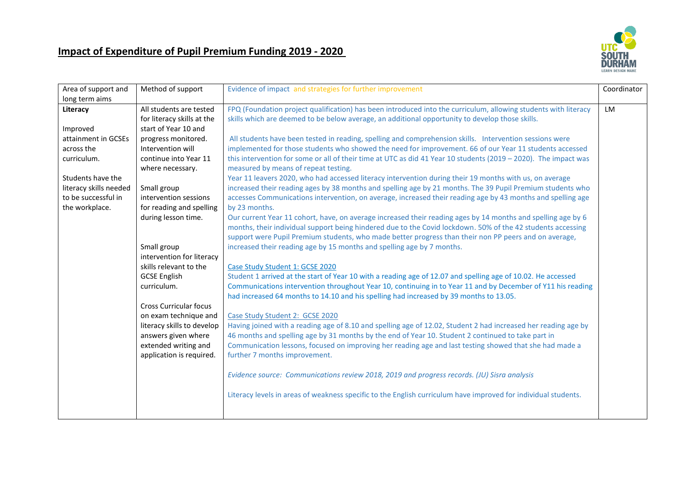## **Impact of Expenditure of Pupil Premium Funding 2019 - 2020**



| Area of support and    | Method of support             | Evidence of impact and strategies for further improvement                                                       | Coordinator |
|------------------------|-------------------------------|-----------------------------------------------------------------------------------------------------------------|-------------|
| long term aims         |                               |                                                                                                                 |             |
| Literacy               | All students are tested       | FPQ (Foundation project qualification) has been introduced into the curriculum, allowing students with literacy | LM          |
|                        | for literacy skills at the    | skills which are deemed to be below average, an additional opportunity to develop those skills.                 |             |
| Improved               | start of Year 10 and          |                                                                                                                 |             |
| attainment in GCSEs    | progress monitored.           | All students have been tested in reading, spelling and comprehension skills. Intervention sessions were         |             |
| across the             | Intervention will             | implemented for those students who showed the need for improvement. 66 of our Year 11 students accessed         |             |
| curriculum.            | continue into Year 11         | this intervention for some or all of their time at UTC as did 41 Year 10 students (2019 - 2020). The impact was |             |
|                        | where necessary.              | measured by means of repeat testing.                                                                            |             |
| Students have the      |                               | Year 11 leavers 2020, who had accessed literacy intervention during their 19 months with us, on average         |             |
| literacy skills needed | Small group                   | increased their reading ages by 38 months and spelling age by 21 months. The 39 Pupil Premium students who      |             |
| to be successful in    | intervention sessions         | accesses Communications intervention, on average, increased their reading age by 43 months and spelling age     |             |
| the workplace.         | for reading and spelling      | by 23 months.                                                                                                   |             |
|                        | during lesson time.           | Our current Year 11 cohort, have, on average increased their reading ages by 14 months and spelling age by 6    |             |
|                        |                               | months, their individual support being hindered due to the Covid lockdown. 50% of the 42 students accessing     |             |
|                        |                               | support were Pupil Premium students, who made better progress than their non PP peers and on average,           |             |
|                        | Small group                   | increased their reading age by 15 months and spelling age by 7 months.                                          |             |
|                        | intervention for literacy     |                                                                                                                 |             |
|                        | skills relevant to the        | Case Study Student 1: GCSE 2020                                                                                 |             |
|                        | <b>GCSE English</b>           | Student 1 arrived at the start of Year 10 with a reading age of 12.07 and spelling age of 10.02. He accessed    |             |
|                        | curriculum.                   | Communications intervention throughout Year 10, continuing in to Year 11 and by December of Y11 his reading     |             |
|                        |                               | had increased 64 months to 14.10 and his spelling had increased by 39 months to 13.05.                          |             |
|                        | <b>Cross Curricular focus</b> |                                                                                                                 |             |
|                        | on exam technique and         | Case Study Student 2: GCSE 2020                                                                                 |             |
|                        | literacy skills to develop    | Having joined with a reading age of 8.10 and spelling age of 12.02, Student 2 had increased her reading age by  |             |
|                        | answers given where           | 46 months and spelling age by 31 months by the end of Year 10. Student 2 continued to take part in              |             |
|                        | extended writing and          | Communication lessons, focused on improving her reading age and last testing showed that she had made a         |             |
|                        | application is required.      | further 7 months improvement.                                                                                   |             |
|                        |                               |                                                                                                                 |             |
|                        |                               | Evidence source: Communications review 2018, 2019 and progress records. (JU) Sisra analysis                     |             |
|                        |                               |                                                                                                                 |             |
|                        |                               | Literacy levels in areas of weakness specific to the English curriculum have improved for individual students.  |             |
|                        |                               |                                                                                                                 |             |
|                        |                               |                                                                                                                 |             |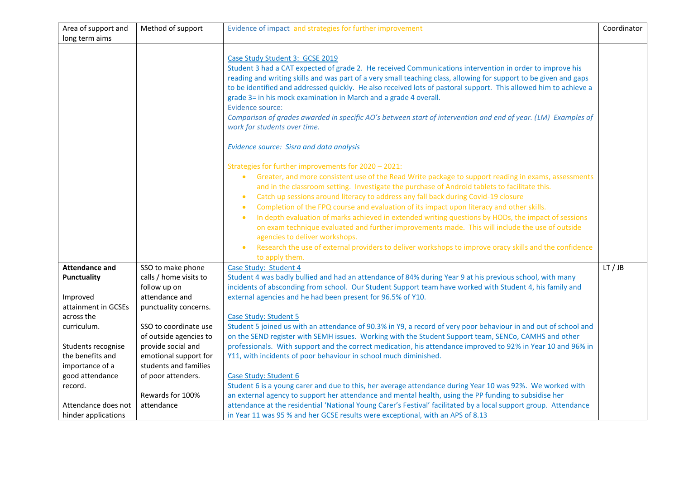| Area of support and   | Method of support      | Evidence of impact and strategies for further improvement                                                                                                                                                                                                                                                                                                                                                                                                                                                                                                                                                                                                                                                                                                                                                                                                                                                                                                                                                                                                                                                                                              | Coordinator |
|-----------------------|------------------------|--------------------------------------------------------------------------------------------------------------------------------------------------------------------------------------------------------------------------------------------------------------------------------------------------------------------------------------------------------------------------------------------------------------------------------------------------------------------------------------------------------------------------------------------------------------------------------------------------------------------------------------------------------------------------------------------------------------------------------------------------------------------------------------------------------------------------------------------------------------------------------------------------------------------------------------------------------------------------------------------------------------------------------------------------------------------------------------------------------------------------------------------------------|-------------|
| long term aims        |                        |                                                                                                                                                                                                                                                                                                                                                                                                                                                                                                                                                                                                                                                                                                                                                                                                                                                                                                                                                                                                                                                                                                                                                        |             |
|                       |                        | Case Study Student 3: GCSE 2019<br>Student 3 had a CAT expected of grade 2. He received Communications intervention in order to improve his<br>reading and writing skills and was part of a very small teaching class, allowing for support to be given and gaps<br>to be identified and addressed quickly. He also received lots of pastoral support. This allowed him to achieve a<br>grade 3= in his mock examination in March and a grade 4 overall.<br>Evidence source:<br>Comparison of grades awarded in specific AO's between start of intervention and end of year. (LM) Examples of<br>work for students over time.<br>Evidence source: Sisra and data analysis<br>Strategies for further improvements for 2020 - 2021:<br>Greater, and more consistent use of the Read Write package to support reading in exams, assessments<br>and in the classroom setting. Investigate the purchase of Android tablets to facilitate this.<br>Catch up sessions around literacy to address any fall back during Covid-19 closure<br>$\bullet$<br>Completion of the FPQ course and evaluation of its impact upon literacy and other skills.<br>$\bullet$ |             |
|                       |                        | In depth evaluation of marks achieved in extended writing questions by HODs, the impact of sessions<br>$\bullet$<br>on exam technique evaluated and further improvements made. This will include the use of outside<br>agencies to deliver workshops.<br>Research the use of external providers to deliver workshops to improve oracy skills and the confidence<br>$\bullet$<br>to apply them.                                                                                                                                                                                                                                                                                                                                                                                                                                                                                                                                                                                                                                                                                                                                                         |             |
| <b>Attendance and</b> | SSO to make phone      | Case Study: Student 4                                                                                                                                                                                                                                                                                                                                                                                                                                                                                                                                                                                                                                                                                                                                                                                                                                                                                                                                                                                                                                                                                                                                  | LT/JB       |
| <b>Punctuality</b>    | calls / home visits to | Student 4 was badly bullied and had an attendance of 84% during Year 9 at his previous school, with many                                                                                                                                                                                                                                                                                                                                                                                                                                                                                                                                                                                                                                                                                                                                                                                                                                                                                                                                                                                                                                               |             |
|                       | follow up on           | incidents of absconding from school. Our Student Support team have worked with Student 4, his family and                                                                                                                                                                                                                                                                                                                                                                                                                                                                                                                                                                                                                                                                                                                                                                                                                                                                                                                                                                                                                                               |             |
| Improved              | attendance and         | external agencies and he had been present for 96.5% of Y10.                                                                                                                                                                                                                                                                                                                                                                                                                                                                                                                                                                                                                                                                                                                                                                                                                                                                                                                                                                                                                                                                                            |             |
| attainment in GCSEs   | punctuality concerns.  |                                                                                                                                                                                                                                                                                                                                                                                                                                                                                                                                                                                                                                                                                                                                                                                                                                                                                                                                                                                                                                                                                                                                                        |             |
| across the            |                        | Case Study: Student 5                                                                                                                                                                                                                                                                                                                                                                                                                                                                                                                                                                                                                                                                                                                                                                                                                                                                                                                                                                                                                                                                                                                                  |             |
| curriculum.           | SSO to coordinate use  | Student 5 joined us with an attendance of 90.3% in Y9, a record of very poor behaviour in and out of school and                                                                                                                                                                                                                                                                                                                                                                                                                                                                                                                                                                                                                                                                                                                                                                                                                                                                                                                                                                                                                                        |             |
|                       | of outside agencies to | on the SEND register with SEMH issues. Working with the Student Support team, SENCo, CAMHS and other                                                                                                                                                                                                                                                                                                                                                                                                                                                                                                                                                                                                                                                                                                                                                                                                                                                                                                                                                                                                                                                   |             |
| Students recognise    | provide social and     | professionals. With support and the correct medication, his attendance improved to 92% in Year 10 and 96% in                                                                                                                                                                                                                                                                                                                                                                                                                                                                                                                                                                                                                                                                                                                                                                                                                                                                                                                                                                                                                                           |             |
| the benefits and      | emotional support for  | Y11, with incidents of poor behaviour in school much diminished.                                                                                                                                                                                                                                                                                                                                                                                                                                                                                                                                                                                                                                                                                                                                                                                                                                                                                                                                                                                                                                                                                       |             |
| importance of a       | students and families  |                                                                                                                                                                                                                                                                                                                                                                                                                                                                                                                                                                                                                                                                                                                                                                                                                                                                                                                                                                                                                                                                                                                                                        |             |
| good attendance       | of poor attenders.     | Case Study: Student 6                                                                                                                                                                                                                                                                                                                                                                                                                                                                                                                                                                                                                                                                                                                                                                                                                                                                                                                                                                                                                                                                                                                                  |             |
| record.               |                        | Student 6 is a young carer and due to this, her average attendance during Year 10 was 92%. We worked with                                                                                                                                                                                                                                                                                                                                                                                                                                                                                                                                                                                                                                                                                                                                                                                                                                                                                                                                                                                                                                              |             |
|                       | Rewards for 100%       | an external agency to support her attendance and mental health, using the PP funding to subsidise her                                                                                                                                                                                                                                                                                                                                                                                                                                                                                                                                                                                                                                                                                                                                                                                                                                                                                                                                                                                                                                                  |             |
| Attendance does not   | attendance             | attendance at the residential 'National Young Carer's Festival' facilitated by a local support group. Attendance                                                                                                                                                                                                                                                                                                                                                                                                                                                                                                                                                                                                                                                                                                                                                                                                                                                                                                                                                                                                                                       |             |
| hinder applications   |                        | in Year 11 was 95 % and her GCSE results were exceptional, with an APS of 8.13                                                                                                                                                                                                                                                                                                                                                                                                                                                                                                                                                                                                                                                                                                                                                                                                                                                                                                                                                                                                                                                                         |             |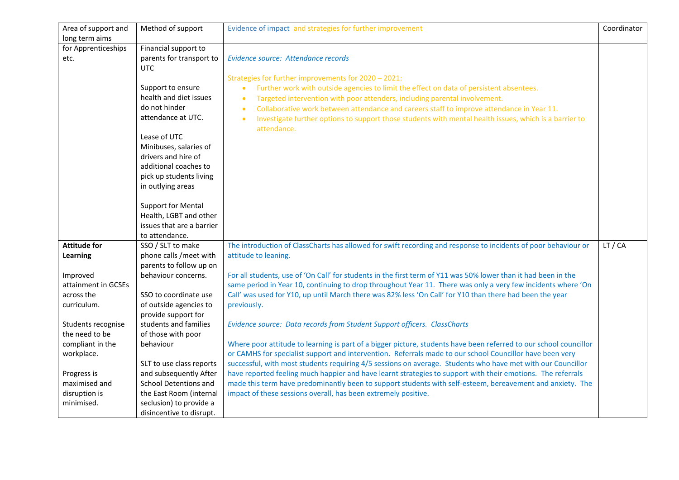| Area of support and | Method of support         | Evidence of impact and strategies for further improvement                                                         | Coordinator |
|---------------------|---------------------------|-------------------------------------------------------------------------------------------------------------------|-------------|
| long term aims      |                           |                                                                                                                   |             |
| for Apprenticeships | Financial support to      |                                                                                                                   |             |
| etc.                | parents for transport to  | Evidence source: Attendance records                                                                               |             |
|                     | <b>UTC</b>                |                                                                                                                   |             |
|                     |                           | Strategies for further improvements for 2020 - 2021:                                                              |             |
|                     | Support to ensure         | Further work with outside agencies to limit the effect on data of persistent absentees.<br>$\bullet$              |             |
|                     | health and diet issues    | Targeted intervention with poor attenders, including parental involvement.<br>$\bullet$                           |             |
|                     | do not hinder             | Collaborative work between attendance and careers staff to improve attendance in Year 11.<br>$\bullet$            |             |
|                     | attendance at UTC.        | Investigate further options to support those students with mental health issues, which is a barrier to            |             |
|                     |                           | attendance.                                                                                                       |             |
|                     | Lease of UTC              |                                                                                                                   |             |
|                     | Minibuses, salaries of    |                                                                                                                   |             |
|                     | drivers and hire of       |                                                                                                                   |             |
|                     | additional coaches to     |                                                                                                                   |             |
|                     | pick up students living   |                                                                                                                   |             |
|                     | in outlying areas         |                                                                                                                   |             |
|                     |                           |                                                                                                                   |             |
|                     | <b>Support for Mental</b> |                                                                                                                   |             |
|                     | Health, LGBT and other    |                                                                                                                   |             |
|                     | issues that are a barrier |                                                                                                                   |             |
|                     | to attendance.            |                                                                                                                   |             |
| <b>Attitude for</b> | SSO / SLT to make         | The introduction of ClassCharts has allowed for swift recording and response to incidents of poor behaviour or    | LT / CA     |
| <b>Learning</b>     | phone calls /meet with    | attitude to leaning.                                                                                              |             |
|                     | parents to follow up on   |                                                                                                                   |             |
| Improved            | behaviour concerns.       | For all students, use of 'On Call' for students in the first term of Y11 was 50% lower than it had been in the    |             |
| attainment in GCSEs |                           | same period in Year 10, continuing to drop throughout Year 11. There was only a very few incidents where 'On      |             |
| across the          | SSO to coordinate use     | Call' was used for Y10, up until March there was 82% less 'On Call' for Y10 than there had been the year          |             |
| curriculum.         | of outside agencies to    | previously.                                                                                                       |             |
|                     | provide support for       |                                                                                                                   |             |
| Students recognise  | students and families     | Evidence source: Data records from Student Support officers. ClassCharts                                          |             |
| the need to be      | of those with poor        |                                                                                                                   |             |
| compliant in the    | behaviour                 | Where poor attitude to learning is part of a bigger picture, students have been referred to our school councillor |             |
| workplace.          |                           | or CAMHS for specialist support and intervention. Referrals made to our school Councillor have been very          |             |
|                     | SLT to use class reports  | successful, with most students requiring 4/5 sessions on average. Students who have met with our Councillor       |             |
| Progress is         | and subsequently After    | have reported feeling much happier and have learnt strategies to support with their emotions. The referrals       |             |
| maximised and       | School Detentions and     | made this term have predominantly been to support students with self-esteem, bereavement and anxiety. The         |             |
| disruption is       | the East Room (internal   | impact of these sessions overall, has been extremely positive.                                                    |             |
| minimised.          | seclusion) to provide a   |                                                                                                                   |             |
|                     | disincentive to disrupt.  |                                                                                                                   |             |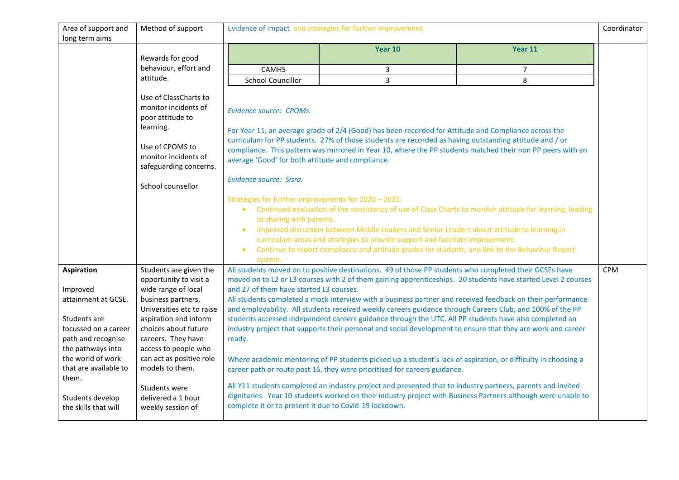| Area of support and                      | Method of support                                                                                                         | Evidence of impact and strategies for further improvement                   |                                                                                                                                                                                                                                                                                                                              |                                                                                                               | Coordinator |
|------------------------------------------|---------------------------------------------------------------------------------------------------------------------------|-----------------------------------------------------------------------------|------------------------------------------------------------------------------------------------------------------------------------------------------------------------------------------------------------------------------------------------------------------------------------------------------------------------------|---------------------------------------------------------------------------------------------------------------|-------------|
| long term aims                           |                                                                                                                           |                                                                             |                                                                                                                                                                                                                                                                                                                              |                                                                                                               |             |
|                                          |                                                                                                                           |                                                                             | Year 10                                                                                                                                                                                                                                                                                                                      | Year 11                                                                                                       |             |
|                                          | Rewards for good                                                                                                          |                                                                             |                                                                                                                                                                                                                                                                                                                              |                                                                                                               |             |
|                                          | behaviour, effort and                                                                                                     | <b>CAMHS</b>                                                                | 3                                                                                                                                                                                                                                                                                                                            | $\overline{7}$                                                                                                |             |
|                                          | attitude.                                                                                                                 | <b>School Councillor</b>                                                    | $\overline{3}$                                                                                                                                                                                                                                                                                                               | 8                                                                                                             |             |
|                                          | Use of ClassCharts to<br>monitor incidents of<br>poor attitude to<br>learning.<br>Use of CPOMS to<br>monitor incidents of | Evidence source: CPOMs.<br>average 'Good' for both attitude and compliance. | For Year 11, an average grade of 2/4 (Good) has been recorded for Attitude and Compliance across the<br>curriculum for PP students. 27% of those students are recorded as having outstanding attitude and / or<br>compliance. This pattern was mirrored in Year 10, where the PP students matched their non PP peers with an |                                                                                                               |             |
|                                          | safeguarding concerns.                                                                                                    |                                                                             |                                                                                                                                                                                                                                                                                                                              |                                                                                                               |             |
|                                          | School counsellor                                                                                                         | Evidence source: Sisra.                                                     |                                                                                                                                                                                                                                                                                                                              |                                                                                                               |             |
|                                          |                                                                                                                           | Strategies for further improvements for 2020 - 2021:                        |                                                                                                                                                                                                                                                                                                                              |                                                                                                               |             |
|                                          |                                                                                                                           | $\bullet$<br>to sharing with parents.                                       |                                                                                                                                                                                                                                                                                                                              | Continued evaluation of the consistency of use of Class Charts to monitor attitude for learning, leading      |             |
|                                          |                                                                                                                           |                                                                             | Improved discussion between Middle Leaders and Senior Leaders about attitude to learning in                                                                                                                                                                                                                                  |                                                                                                               |             |
|                                          |                                                                                                                           |                                                                             | curriculum areas and strategies to provide support and facilitate improvement.                                                                                                                                                                                                                                               |                                                                                                               |             |
|                                          |                                                                                                                           | $\bullet$                                                                   | Continue to report compliance and attitude grades for students, and link to the Behaviour Report                                                                                                                                                                                                                             |                                                                                                               |             |
|                                          |                                                                                                                           | system.                                                                     |                                                                                                                                                                                                                                                                                                                              |                                                                                                               |             |
| <b>Aspiration</b>                        | Students are given the                                                                                                    |                                                                             | All students moved on to positive destinations. 49 of those PP students who completed their GCSEs have                                                                                                                                                                                                                       |                                                                                                               | <b>CPM</b>  |
|                                          | opportunity to visit a                                                                                                    |                                                                             |                                                                                                                                                                                                                                                                                                                              | moved on to L2 or L3 courses with 2 of them gaining apprenticeships. 20 students have started Level 2 courses |             |
| Improved                                 | wide range of local                                                                                                       | and 27 of them have started L3 courses.                                     |                                                                                                                                                                                                                                                                                                                              |                                                                                                               |             |
| attainment at GCSE.                      | business partners,                                                                                                        |                                                                             | All students completed a mock interview with a business partner and received feedback on their performance                                                                                                                                                                                                                   |                                                                                                               |             |
|                                          | Universities etc to raise                                                                                                 |                                                                             | and employability. All students received weekly careers guidance through Careers Club, and 100% of the PP                                                                                                                                                                                                                    |                                                                                                               |             |
| Students are                             | aspiration and inform                                                                                                     |                                                                             | students accessed independent careers guidance through the UTC. All PP students have also completed an                                                                                                                                                                                                                       |                                                                                                               |             |
| focussed on a career                     | choices about future                                                                                                      |                                                                             | industry project that supports their personal and social development to ensure that they are work and career                                                                                                                                                                                                                 |                                                                                                               |             |
| path and recognise                       | careers. They have                                                                                                        | ready.                                                                      |                                                                                                                                                                                                                                                                                                                              |                                                                                                               |             |
| the pathways into                        | access to people who                                                                                                      |                                                                             |                                                                                                                                                                                                                                                                                                                              |                                                                                                               |             |
| the world of work                        | can act as positive role                                                                                                  |                                                                             | Where academic mentoring of PP students picked up a student's lack of aspiration, or difficulty in choosing a                                                                                                                                                                                                                |                                                                                                               |             |
| that are available to                    | models to them.                                                                                                           |                                                                             | career path or route post 16, they were prioritised for careers guidance.                                                                                                                                                                                                                                                    |                                                                                                               |             |
| them.                                    |                                                                                                                           |                                                                             | All Y11 students completed an industry project and presented that to industry partners, parents and invited                                                                                                                                                                                                                  |                                                                                                               |             |
|                                          | Students were                                                                                                             |                                                                             |                                                                                                                                                                                                                                                                                                                              | dignitaries. Year 10 students worked on their industry project with Business Partners although were unable to |             |
| Students develop<br>the skills that will | delivered a 1 hour<br>weekly session of                                                                                   | complete it or to present it due to Covid-19 lockdown.                      |                                                                                                                                                                                                                                                                                                                              |                                                                                                               |             |
|                                          |                                                                                                                           |                                                                             |                                                                                                                                                                                                                                                                                                                              |                                                                                                               |             |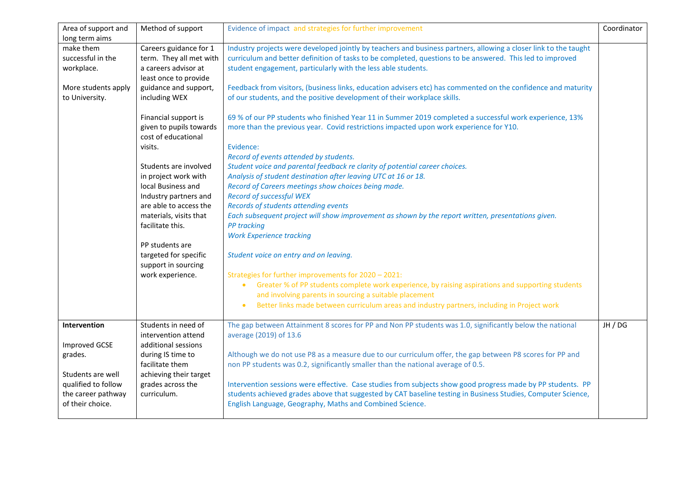| Area of support and  | Method of support       | Evidence of impact and strategies for further improvement                                                        | Coordinator |
|----------------------|-------------------------|------------------------------------------------------------------------------------------------------------------|-------------|
| long term aims       |                         |                                                                                                                  |             |
| make them            | Careers guidance for 1  | Industry projects were developed jointly by teachers and business partners, allowing a closer link to the taught |             |
| successful in the    | term. They all met with | curriculum and better definition of tasks to be completed, questions to be answered. This led to improved        |             |
| workplace.           | a careers advisor at    | student engagement, particularly with the less able students.                                                    |             |
|                      | least once to provide   |                                                                                                                  |             |
| More students apply  | guidance and support,   | Feedback from visitors, (business links, education advisers etc) has commented on the confidence and maturity    |             |
| to University.       | including WEX           | of our students, and the positive development of their workplace skills.                                         |             |
|                      |                         |                                                                                                                  |             |
|                      | Financial support is    | 69 % of our PP students who finished Year 11 in Summer 2019 completed a successful work experience, 13%          |             |
|                      | given to pupils towards | more than the previous year. Covid restrictions impacted upon work experience for Y10.                           |             |
|                      | cost of educational     |                                                                                                                  |             |
|                      | visits.                 | Evidence:                                                                                                        |             |
|                      |                         | Record of events attended by students.                                                                           |             |
|                      | Students are involved   | Student voice and parental feedback re clarity of potential career choices.                                      |             |
|                      | in project work with    | Analysis of student destination after leaving UTC at 16 or 18.                                                   |             |
|                      | local Business and      | Record of Careers meetings show choices being made.                                                              |             |
|                      | Industry partners and   | Record of successful WEX                                                                                         |             |
|                      | are able to access the  | Records of students attending events                                                                             |             |
|                      | materials, visits that  | Each subsequent project will show improvement as shown by the report written, presentations given.               |             |
|                      | facilitate this.        | <b>PP</b> tracking                                                                                               |             |
|                      |                         | <b>Work Experience tracking</b>                                                                                  |             |
|                      | PP students are         |                                                                                                                  |             |
|                      | targeted for specific   | Student voice on entry and on leaving.                                                                           |             |
|                      | support in sourcing     |                                                                                                                  |             |
|                      | work experience.        | Strategies for further improvements for 2020 - 2021:                                                             |             |
|                      |                         | Greater % of PP students complete work experience, by raising aspirations and supporting students<br>$\bullet$   |             |
|                      |                         | and involving parents in sourcing a suitable placement                                                           |             |
|                      |                         |                                                                                                                  |             |
|                      |                         | Better links made between curriculum areas and industry partners, including in Project work<br>$\bullet$         |             |
|                      | Students in need of     |                                                                                                                  |             |
| Intervention         |                         | The gap between Attainment 8 scores for PP and Non PP students was 1.0, significantly below the national         | JH / DG     |
|                      | intervention attend     | average (2019) of 13.6                                                                                           |             |
| <b>Improved GCSE</b> | additional sessions     |                                                                                                                  |             |
| grades.              | during IS time to       | Although we do not use P8 as a measure due to our curriculum offer, the gap between P8 scores for PP and         |             |
|                      | facilitate them         | non PP students was 0.2, significantly smaller than the national average of 0.5.                                 |             |
| Students are well    | achieving their target  |                                                                                                                  |             |
| qualified to follow  | grades across the       | Intervention sessions were effective. Case studies from subjects show good progress made by PP students. PP      |             |
| the career pathway   | curriculum.             | students achieved grades above that suggested by CAT baseline testing in Business Studies, Computer Science,     |             |
| of their choice.     |                         | English Language, Geography, Maths and Combined Science.                                                         |             |
|                      |                         |                                                                                                                  |             |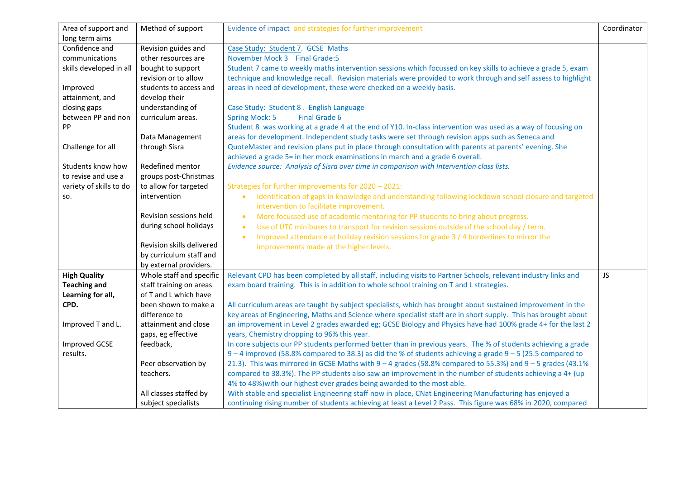| Area of support and     | Method of support         | Evidence of impact and strategies for further improvement                                                         | Coordinator |
|-------------------------|---------------------------|-------------------------------------------------------------------------------------------------------------------|-------------|
| long term aims          |                           |                                                                                                                   |             |
| Confidence and          | Revision guides and       | Case Study: Student 7. GCSE Maths                                                                                 |             |
| communications          | other resources are       | November Mock 3 Final Grade:5                                                                                     |             |
| skills developed in all | bought to support         | Student 7 came to weekly maths intervention sessions which focussed on key skills to achieve a grade 5, exam      |             |
|                         | revision or to allow      | technique and knowledge recall. Revision materials were provided to work through and self assess to highlight     |             |
| Improved                | students to access and    | areas in need of development, these were checked on a weekly basis.                                               |             |
| attainment, and         | develop their             |                                                                                                                   |             |
| closing gaps            | understanding of          | Case Study: Student 8. English Language                                                                           |             |
| between PP and non      | curriculum areas.         | <b>Final Grade 6</b><br><b>Spring Mock: 5</b>                                                                     |             |
| PP                      |                           | Student 8 was working at a grade 4 at the end of Y10. In-class intervention was used as a way of focusing on      |             |
|                         | Data Management           | areas for development. Independent study tasks were set through revision apps such as Seneca and                  |             |
| Challenge for all       | through Sisra             | QuoteMaster and revision plans put in place through consultation with parents at parents' evening. She            |             |
|                         |                           | achieved a grade 5= in her mock examinations in march and a grade 6 overall.                                      |             |
| Students know how       | Redefined mentor          | Evidence source: Analysis of Sisra over time in comparison with Intervention class lists.                         |             |
| to revise and use a     | groups post-Christmas     |                                                                                                                   |             |
| variety of skills to do | to allow for targeted     | Strategies for further improvements for 2020 - 2021:                                                              |             |
| SO.                     | intervention              | Identification of gaps in knowledge and understanding following lockdown school closure and targeted<br>$\bullet$ |             |
|                         |                           | intervention to facilitate improvement.                                                                           |             |
|                         | Revision sessions held    | More focussed use of academic mentoring for PP students to bring about progress.<br>$\bullet$                     |             |
|                         | during school holidays    | Use of UTC minibuses to transport for revision sessions outside of the school day / term.<br>$\bullet$            |             |
|                         |                           | Improved attendance at holiday revision sessions for grade 3 / 4 borderlines to mirror the<br>$\bullet$           |             |
|                         | Revision skills delivered | improvements made at the higher levels.                                                                           |             |
|                         | by curriculum staff and   |                                                                                                                   |             |
|                         | by external providers.    |                                                                                                                   |             |
| <b>High Quality</b>     | Whole staff and specific  | Relevant CPD has been completed by all staff, including visits to Partner Schools, relevant industry links and    | <b>JS</b>   |
| <b>Teaching and</b>     | staff training on areas   | exam board training. This is in addition to whole school training on T and L strategies.                          |             |
| Learning for all,       | of T and L which have     |                                                                                                                   |             |
| CPD.                    | been shown to make a      | All curriculum areas are taught by subject specialists, which has brought about sustained improvement in the      |             |
|                         | difference to             | key areas of Engineering, Maths and Science where specialist staff are in short supply. This has brought about    |             |
| Improved T and L.       | attainment and close      | an improvement in Level 2 grades awarded eg; GCSE Biology and Physics have had 100% grade 4+ for the last 2       |             |
|                         | gaps, eg effective        | years, Chemistry dropping to 96% this year.                                                                       |             |
| <b>Improved GCSE</b>    | feedback,                 | In core subjects our PP students performed better than in previous years. The % of students achieving a grade     |             |
| results.                |                           | $9 - 4$ improved (58.8% compared to 38.3) as did the % of students achieving a grade $9 - 5$ (25.5 compared to    |             |
|                         | Peer observation by       | 21.3). This was mirrored in GCSE Maths with 9 - 4 grades (58.8% compared to 55.3%) and 9 - 5 grades (43.1%        |             |
|                         | teachers.                 | compared to 38.3%). The PP students also saw an improvement in the number of students achieving a 4+ (up          |             |
|                         |                           | 4% to 48%) with our highest ever grades being awarded to the most able.                                           |             |
|                         | All classes staffed by    | With stable and specialist Engineering staff now in place, CNat Engineering Manufacturing has enjoyed a           |             |
|                         | subject specialists       | continuing rising number of students achieving at least a Level 2 Pass. This figure was 68% in 2020, compared     |             |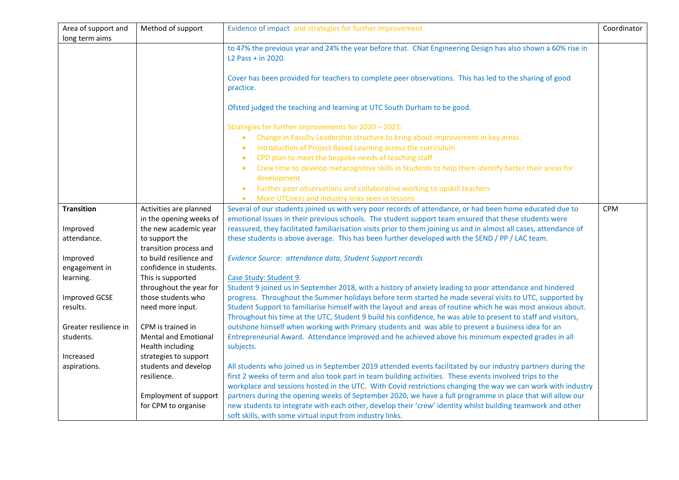| Area of support and       | Method of support                             | Evidence of impact and strategies for further improvement                                                                         | Coordinator |
|---------------------------|-----------------------------------------------|-----------------------------------------------------------------------------------------------------------------------------------|-------------|
| long term aims            |                                               |                                                                                                                                   |             |
|                           |                                               | to 47% the previous year and 24% the year before that. CNat Engineering Design has also shown a 60% rise in<br>L2 Pass + in 2020. |             |
|                           |                                               |                                                                                                                                   |             |
|                           |                                               | Cover has been provided for teachers to complete peer observations. This has led to the sharing of good                           |             |
|                           |                                               | practice.                                                                                                                         |             |
|                           |                                               |                                                                                                                                   |             |
|                           |                                               | Ofsted judged the teaching and learning at UTC South Durham to be good.                                                           |             |
|                           |                                               | Strategies for further improvements for 2020 - 2021:                                                                              |             |
|                           |                                               | Change in Faculty Leadership structure to bring about improvement in key areas.<br>$\bullet$                                      |             |
|                           |                                               | Introduction of Project Based Learning across the curriculum<br>$\bullet$                                                         |             |
|                           |                                               | CPD plan to meet the bespoke needs of teaching staff<br>$\bullet$                                                                 |             |
|                           |                                               | Crew time to develop metacognitive skills in Students to help them identify better their areas for<br>$\bullet$                   |             |
|                           |                                               | development                                                                                                                       |             |
|                           |                                               | Further peer observations and collaborative working to upskill teachers<br>$\bullet$                                              |             |
|                           |                                               | More UTCness and industry links seen in lessons                                                                                   |             |
| <b>Transition</b>         | Activities are planned                        | Several of our students joined us with very poor records of attendance, or had been home educated due to                          | <b>CPM</b>  |
|                           | in the opening weeks of                       | emotional issues in their previous schools. The student support team ensured that these students were                             |             |
| Improved                  | the new academic year                         | reassured, they facilitated familiarisation visits prior to them joining us and in almost all cases, attendance of                |             |
| attendance.               | to support the                                | these students is above average. This has been further developed with the SEND / PP / LAC team.                                   |             |
|                           | transition process and                        |                                                                                                                                   |             |
| Improved                  | to build resilience and                       | Evidence Source: attendance data, Student Support records                                                                         |             |
| engagement in             | confidence in students.                       |                                                                                                                                   |             |
| learning.                 | This is supported                             | Case Study: Student 9.                                                                                                            |             |
|                           | throughout the year for                       | Student 9 joined us in September 2018, with a history of anxiety leading to poor attendance and hindered                          |             |
| <b>Improved GCSE</b>      | those students who                            | progress. Throughout the Summer holidays before term started he made several visits to UTC, supported by                          |             |
| results.                  | need more input.                              | Student Support to familiarise himself with the layout and areas of routine which he was most anxious about.                      |             |
|                           |                                               | Throughout his time at the UTC, Student 9 build his confidence, he was able to present to staff and visitors,                     |             |
| Greater resilience in     | CPM is trained in                             | outshone himself when working with Primary students and was able to present a business idea for an                                |             |
| students.                 | <b>Mental and Emotional</b>                   | Entrepreneurial Award. Attendance improved and he achieved above his minimum expected grades in all                               |             |
|                           | Health including                              | subjects.                                                                                                                         |             |
| Increased<br>aspirations. | strategies to support<br>students and develop | All students who joined us in September 2019 attended events facilitated by our industry partners during the                      |             |
|                           | resilience.                                   | first 2 weeks of term and also took part in team building activities. These events involved trips to the                          |             |
|                           |                                               | workplace and sessions hosted in the UTC. With Covid restrictions changing the way we can work with industry                      |             |
|                           | Employment of support                         | partners during the opening weeks of September 2020, we have a full programme in place that will allow our                        |             |
|                           | for CPM to organise                           | new students to integrate with each other, develop their 'crew' identity whilst building teamwork and other                       |             |
|                           |                                               | soft skills, with some virtual input from industry links.                                                                         |             |
|                           |                                               |                                                                                                                                   |             |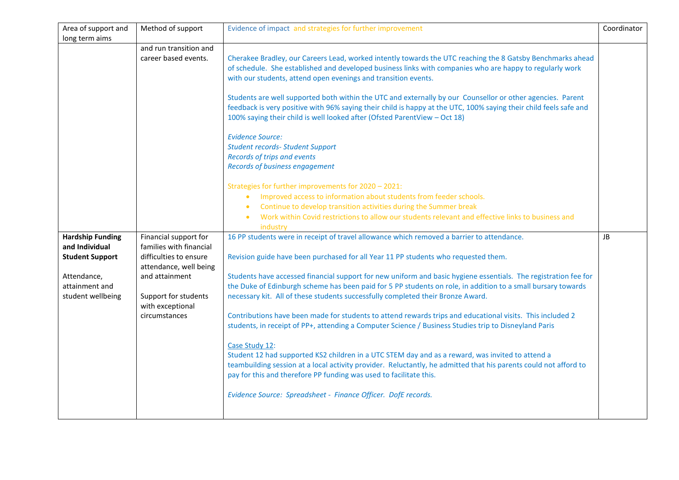| Area of support and     | Method of support                        | Evidence of impact and strategies for further improvement                                                         | Coordinator |
|-------------------------|------------------------------------------|-------------------------------------------------------------------------------------------------------------------|-------------|
| long term aims          |                                          |                                                                                                                   |             |
|                         | and run transition and                   |                                                                                                                   |             |
|                         | career based events.                     | Cherakee Bradley, our Careers Lead, worked intently towards the UTC reaching the 8 Gatsby Benchmarks ahead        |             |
|                         |                                          | of schedule. She established and developed business links with companies who are happy to regularly work          |             |
|                         |                                          | with our students, attend open evenings and transition events.                                                    |             |
|                         |                                          |                                                                                                                   |             |
|                         |                                          | Students are well supported both within the UTC and externally by our Counsellor or other agencies. Parent        |             |
|                         |                                          | feedback is very positive with 96% saying their child is happy at the UTC, 100% saying their child feels safe and |             |
|                         |                                          | 100% saying their child is well looked after (Ofsted ParentView - Oct 18)                                         |             |
|                         |                                          | <b>Evidence Source:</b>                                                                                           |             |
|                         |                                          | <b>Student records- Student Support</b>                                                                           |             |
|                         |                                          | Records of trips and events                                                                                       |             |
|                         |                                          | <b>Records of business engagement</b>                                                                             |             |
|                         |                                          |                                                                                                                   |             |
|                         |                                          | Strategies for further improvements for 2020 - 2021:                                                              |             |
|                         |                                          | Improved access to information about students from feeder schools.<br>$\bullet$                                   |             |
|                         |                                          | Continue to develop transition activities during the Summer break<br>$\bullet$                                    |             |
|                         |                                          | Work within Covid restrictions to allow our students relevant and effective links to business and                 |             |
|                         |                                          | industry                                                                                                          |             |
| <b>Hardship Funding</b> | Financial support for                    | 16 PP students were in receipt of travel allowance which removed a barrier to attendance.                         | JB          |
| and Individual          | families with financial                  |                                                                                                                   |             |
| <b>Student Support</b>  | difficulties to ensure                   | Revision guide have been purchased for all Year 11 PP students who requested them.                                |             |
|                         | attendance, well being                   |                                                                                                                   |             |
| Attendance,             | and attainment                           | Students have accessed financial support for new uniform and basic hygiene essentials. The registration fee for   |             |
| attainment and          |                                          | the Duke of Edinburgh scheme has been paid for 5 PP students on role, in addition to a small bursary towards      |             |
| student wellbeing       | Support for students<br>with exceptional | necessary kit. All of these students successfully completed their Bronze Award.                                   |             |
|                         | circumstances                            | Contributions have been made for students to attend rewards trips and educational visits. This included 2         |             |
|                         |                                          | students, in receipt of PP+, attending a Computer Science / Business Studies trip to Disneyland Paris             |             |
|                         |                                          |                                                                                                                   |             |
|                         |                                          | Case Study 12:                                                                                                    |             |
|                         |                                          | Student 12 had supported KS2 children in a UTC STEM day and as a reward, was invited to attend a                  |             |
|                         |                                          | teambuilding session at a local activity provider. Reluctantly, he admitted that his parents could not afford to  |             |
|                         |                                          | pay for this and therefore PP funding was used to facilitate this.                                                |             |
|                         |                                          |                                                                                                                   |             |
|                         |                                          | Evidence Source: Spreadsheet - Finance Officer. DofE records.                                                     |             |
|                         |                                          |                                                                                                                   |             |
|                         |                                          |                                                                                                                   |             |